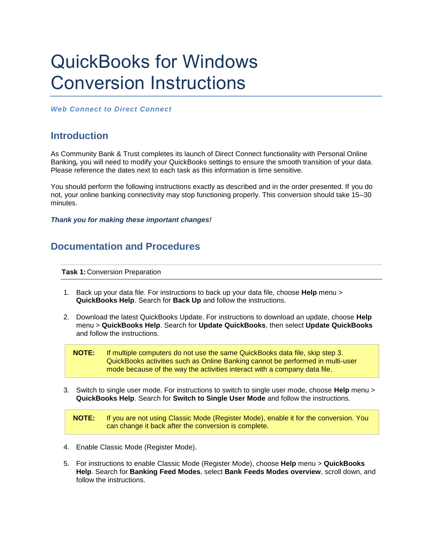## QuickBooks for Windows Conversion Instructions

*Web Connect to Direct Connect*

## **Introduction**

As Community Bank & Trust completes its launch of Direct Connect functionality with Personal Online Banking*,* you will need to modify your QuickBooks settings to ensure the smooth transition of your data. Please reference the dates next to each task as this information is time sensitive.

You should perform the following instructions exactly as described and in the order presented. If you do not, your online banking connectivity may stop functioning properly. This conversion should take 15–30 minutes.

*Thank you for making these important changes!*

## **Documentation and Procedures**

**Task 1:** Conversion Preparation

- 1. Back up your data file. For instructions to back up your data file, choose **Help** menu > **QuickBooks Help**. Search for **Back Up** and follow the instructions.
- 2. Download the latest QuickBooks Update. For instructions to download an update, choose **Help** menu > **QuickBooks Help**. Search for **Update QuickBooks**, then select **Update QuickBooks** and follow the instructions.



3. Switch to single user mode. For instructions to switch to single user mode, choose **Help** menu > **QuickBooks Help**. Search for **Switch to Single User Mode** and follow the instructions.

**NOTE:** If you are not using Classic Mode (Register Mode), enable it for the conversion. You can change it back after the conversion is complete.

- 4. Enable Classic Mode (Register Mode).
- 5. For instructions to enable Classic Mode (Register Mode), choose **Help** menu > **QuickBooks Help**. Search for **Banking Feed Modes**, select **Bank Feeds Modes overview**, scroll down, and follow the instructions.